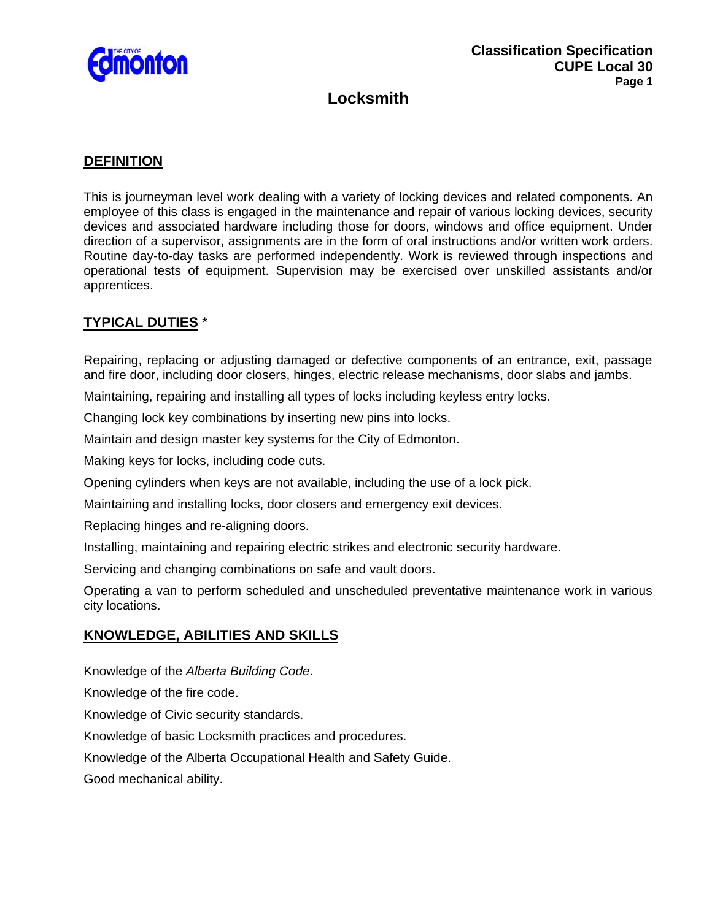

## **DEFINITION**

This is journeyman level work dealing with a variety of locking devices and related components. An employee of this class is engaged in the maintenance and repair of various locking devices, security devices and associated hardware including those for doors, windows and office equipment. Under direction of a supervisor, assignments are in the form of oral instructions and/or written work orders. Routine day-to-day tasks are performed independently. Work is reviewed through inspections and operational tests of equipment. Supervision may be exercised over unskilled assistants and/or apprentices.

## **TYPICAL DUTIES** \*

Repairing, replacing or adjusting damaged or defective components of an entrance, exit, passage and fire door, including door closers, hinges, electric release mechanisms, door slabs and jambs.

Maintaining, repairing and installing all types of locks including keyless entry locks.

Changing lock key combinations by inserting new pins into locks.

Maintain and design master key systems for the City of Edmonton.

Making keys for locks, including code cuts.

Opening cylinders when keys are not available, including the use of a lock pick.

Maintaining and installing locks, door closers and emergency exit devices.

Replacing hinges and re-aligning doors.

Installing, maintaining and repairing electric strikes and electronic security hardware.

Servicing and changing combinations on safe and vault doors.

Operating a van to perform scheduled and unscheduled preventative maintenance work in various city locations.

## **KNOWLEDGE, ABILITIES AND SKILLS**

Knowledge of the *Alberta Building Code*.

Knowledge of the fire code.

Knowledge of Civic security standards.

Knowledge of basic Locksmith practices and procedures.

Knowledge of the Alberta Occupational Health and Safety Guide.

Good mechanical ability.